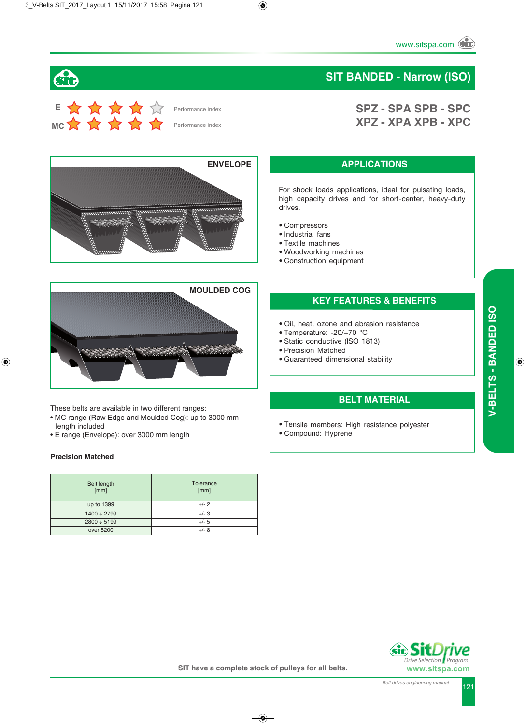### **SIT BANDED - Narrow (ISO)**

**SPZ - SPA SPB - SPC XPZ - XPA XPB - XPC**



 $\mathbf{G}$ 





These belts are available in two different ranges:

- MC range (Raw Edge and Moulded Cog): up to 3000 mm length included
- E range (Envelope): over 3000 mm length

#### **Precision Matched**

| <b>Belt length</b><br>[mm] | Tolerance<br>[mm] |
|----------------------------|-------------------|
| up to 1399                 | $+/- 2$           |
| $1400 \div 2799$           | $+/-3$            |
| $2800 \div 5199$           | $+/- 5$           |
| over 5200                  | $+/- 8$           |

#### **APPLICATIONS**

For shock loads applications, ideal for pulsating loads, high capacity drives and for short-center, heavy-duty drives.

- Compressors
- Industrial fans
- Textile machines
- Woodworking machines
- Construction equipment

#### **KEY FEATURES & BENEFITS**

- Oil, heat, ozone and abrasion resistance
- Temperature: -20/+70 °C
- Static conductive (ISO 1813)
- Precision Matched
- Guaranteed dimensional stability

### **BELT MATERIAL**

- Tensile members: High resistance polyester
- Compound: Hyprene



 *Program*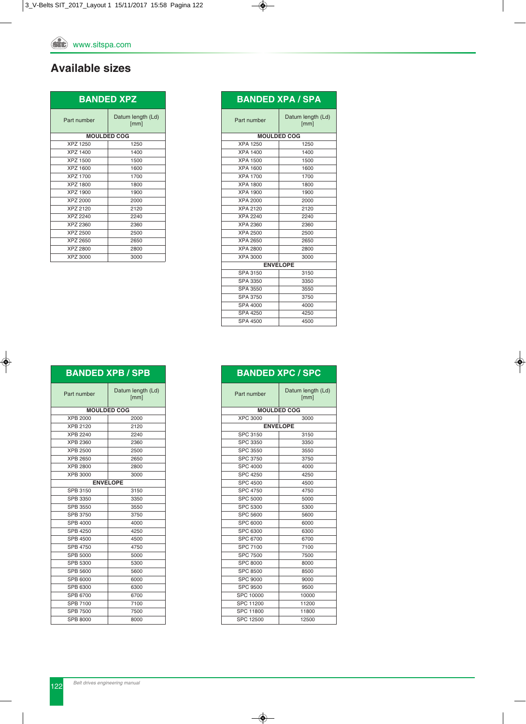### **Available sizes**

| <b>BANDED XPZ</b> |                           |
|-------------------|---------------------------|
| Part number       | Datum length (Ld)<br>[mm] |
|                   | <b>MOULDED COG</b>        |
| XPZ 1250          | 1250                      |
| XPZ 1400          | 1400                      |
| XPZ 1500          | 1500                      |
| XPZ 1600          | 1600                      |
| <b>XPZ 1700</b>   | 1700                      |
| XPZ 1800          | 1800                      |
| XPZ 1900          | 1900                      |
| <b>XPZ 2000</b>   | 2000                      |
| XPZ 2120          | 2120                      |
| XPZ 2240          | 2240                      |
| XPZ 2360          | 2360                      |
| XPZ 2500          | 2500                      |
| XPZ 2650          | 2650                      |
| XPZ 2800          | 2800                      |
| XPZ 3000          | 3000                      |

| <b>BANDED XPA / SPA</b> |                           |  |
|-------------------------|---------------------------|--|
| Part number             | Datum length (Ld)<br>[mm] |  |
| <b>MOULDED COG</b>      |                           |  |
| <b>XPA 1250</b>         | 1250                      |  |
| XPA 1400                | 1400                      |  |
| XPA 1500                | 1500                      |  |
| XPA 1600                | 1600                      |  |
| <b>XPA 1700</b>         | 1700                      |  |
| <b>XPA 1800</b>         | 1800                      |  |
| <b>XPA 1900</b>         | 1900                      |  |
| <b>XPA 2000</b>         | 2000                      |  |
| <b>XPA 2120</b>         | 2120                      |  |
| <b>XPA 2240</b>         | 2240                      |  |
| XPA 2360                | 2360                      |  |
| XPA 2500                | 2500                      |  |
| XPA 2650                | 2650                      |  |
| XPA 2800                | 2800                      |  |
| XPA 3000                | 3000                      |  |
| <b>ENVELOPE</b>         |                           |  |
| <b>SPA 3150</b>         | 3150                      |  |
| SPA 3350                | 3350                      |  |
| <b>SPA 3550</b>         | 3550                      |  |
| SPA 3750                | 3750                      |  |
| SPA 4000                | 4000                      |  |
| <b>SPA 4250</b>         | 4250                      |  |
| <b>SPA 4500</b>         | 4500                      |  |

| <b>BANDED XPB / SPB</b> |                           |  |
|-------------------------|---------------------------|--|
| Part number             | Datum length (Ld)<br>[mm] |  |
|                         | <b>MOULDED COG</b>        |  |
| <b>XPB 2000</b>         | 2000                      |  |
| <b>XPB 2120</b>         | 2120                      |  |
| <b>XPB 2240</b>         | 2240                      |  |
| <b>XPB 2360</b>         | 2360                      |  |
| <b>XPB 2500</b>         | 2500                      |  |
| XPB 2650                | 2650                      |  |
| <b>XPB 2800</b>         | 2800                      |  |
| XPB 3000                | 3000                      |  |
| <b>ENVELOPE</b>         |                           |  |
| <b>SPB 3150</b>         | 3150                      |  |
| SPB 3350                | 3350                      |  |
| <b>SPB 3550</b>         | 3550                      |  |
| <b>SPB 3750</b>         | 3750                      |  |
| SPB 4000                | 4000                      |  |
| <b>SPB 4250</b>         | 4250                      |  |
| <b>SPB 4500</b>         | 4500                      |  |
| <b>SPB 4750</b>         | 4750                      |  |
| <b>SPB 5000</b>         | 5000                      |  |
| SPB 5300                | 5300                      |  |
| SPB 5600                | 5600                      |  |
| SPB 6000                | 6000                      |  |
| SPB 6300                | 6300                      |  |
| SPB 6700                | 6700                      |  |
| SPB 7100                | 7100                      |  |
| <b>SPB 7500</b>         | 7500                      |  |
| SPB 8000                | 8000                      |  |

| DANUED AFU I SFU |                           |  |
|------------------|---------------------------|--|
| Part number      | Datum length (Ld)<br>[mm] |  |
|                  | <b>MOULDED COG</b>        |  |
| <b>XPC 3000</b>  | 3000                      |  |
|                  | <b>ENVELOPE</b>           |  |
| <b>SPC 3150</b>  | 3150                      |  |
| <b>SPC 3350</b>  | 3350                      |  |
| <b>SPC 3550</b>  | 3550                      |  |
| <b>SPC 3750</b>  | 3750                      |  |
| SPC 4000         | 4000                      |  |
| <b>SPC 4250</b>  | 4250                      |  |
| <b>SPC 4500</b>  | 4500                      |  |
| <b>SPC 4750</b>  | 4750                      |  |
| <b>SPC 5000</b>  | 5000                      |  |
| <b>SPC 5300</b>  | 5300                      |  |
| <b>SPC 5600</b>  | 5600                      |  |
| <b>SPC 6000</b>  | 6000                      |  |
| SPC 6300         | 6300                      |  |
| <b>SPC 6700</b>  | 6700                      |  |
| <b>SPC 7100</b>  | 7100                      |  |
| <b>SPC 7500</b>  | 7500                      |  |
| <b>SPC 8000</b>  | 8000                      |  |
| <b>SPC 8500</b>  | 8500                      |  |
| <b>SPC 9000</b>  | 9000                      |  |
| <b>SPC 9500</b>  | 9500                      |  |
| SPC 10000        | 10000                     |  |
| SPC 11200        | 11200                     |  |
| <b>SPC 11800</b> | 11800                     |  |
| SPC 12500        | 12500                     |  |

# **BANDED XPC / SPC**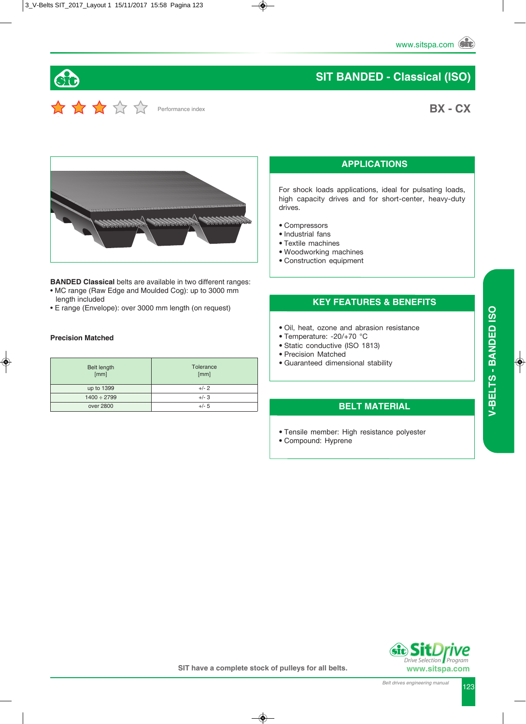### **BX - CX**



Performance index

60

**BANDED Classical** belts are available in two different ranges: • MC range (Raw Edge and Moulded Cog): up to 3000 mm

- length included
- E range (Envelope): over 3000 mm length (on request)

#### **Precision Matched**

| <b>Belt length</b><br>[mm] | Tolerance<br>[mm] |
|----------------------------|-------------------|
| up to 1399                 | $+/- 2$           |
| $1400 \div 2799$           | $+/- 3$           |
| over 2800                  | $+/- 5$           |

### **APPLICATIONS**

For shock loads applications, ideal for pulsating loads, high capacity drives and for short-center, heavy-duty drives.

- Compressors
- Industrial fans
- Textile machines
- Woodworking machines
- Construction equipment

### **KEY FEATURES & BENEFITS**

- Oil, heat, ozone and abrasion resistance
- Temperature: -20/+70 °C
- Static conductive (ISO 1813)
- Precision Matched
- Guaranteed dimensional stability

#### **BELT MATERIAL**

- Tensile member: High resistance polyester
- Compound: Hyprene



 *Program*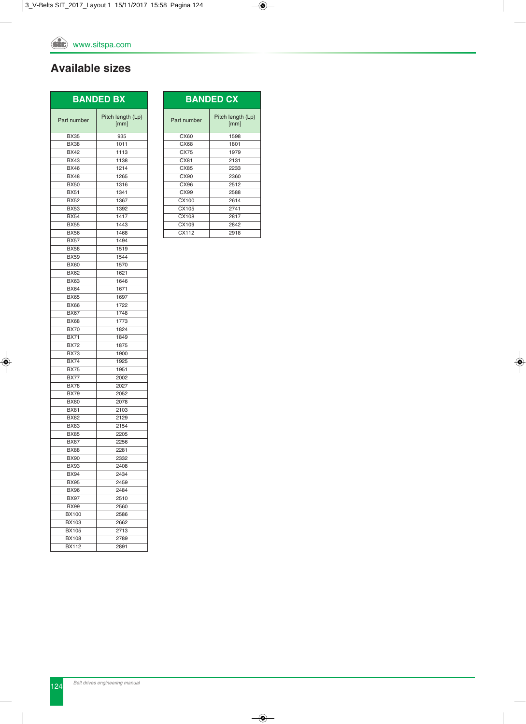### **Available sizes**

| <b>BANDED BX</b> |                           |
|------------------|---------------------------|
| Part number      | Pitch length (Lp)<br>[mm] |
| <b>BX35</b>      | 935                       |
| <b>BX38</b>      | 1011                      |
| <b>BX42</b>      | 1113                      |
| <b>BX43</b>      | 1138                      |
| <b>BX46</b>      | 1214                      |
| <b>BX48</b>      | 1265                      |
| <b>BX50</b>      | 1316                      |
| <b>BX51</b>      | 1341                      |
| <b>BX52</b>      | 1367                      |
| <b>BX53</b>      | 1392                      |
| <b>BX54</b>      | 1417                      |
| <b>BX55</b>      | 1443                      |
| <b>BX56</b>      | 1468                      |
| <b>BX57</b>      | 1494                      |
| <b>BX58</b>      | 1519                      |
| <b>BX59</b>      | 1544                      |
| <b>BX60</b>      | 1570                      |
| <b>BX62</b>      |                           |
|                  | 1621                      |
| <b>BX63</b>      | 1646                      |
| <b>BX64</b>      | 1671                      |
| <b>BX65</b>      | 1697                      |
| <b>BX66</b>      | 1722                      |
| <b>BX67</b>      | 1748                      |
| <b>BX68</b>      | 1773                      |
| <b>BX70</b>      | 1824                      |
| <b>BX71</b>      | 1849                      |
| <b>BX72</b>      | 1875                      |
| <b>BX73</b>      | 1900                      |
| <b>BX74</b>      | 1925                      |
| <b>BX75</b>      | 1951                      |
| <b>BX77</b>      | 2002                      |
| <b>BX78</b>      | 2027                      |
| <b>BX79</b>      | 2052                      |
| <b>BX80</b>      | 2078                      |
| <b>BX81</b>      | 2103                      |
| <b>BX82</b>      | 2129                      |
| <b>BX83</b>      | 2154                      |
| <b>BX85</b>      | 2205                      |
| <b>BX87</b>      | 2256                      |
| <b>BX88</b>      | 2281                      |
| BX90             | 2332                      |
| <b>BX93</b>      | 2408                      |
| <b>BX94</b>      | 2434                      |
| <b>BX95</b>      | 2459                      |
| <b>BX96</b>      | 2484                      |
| <b>BX97</b>      | 2510                      |
| <b>BX99</b>      | 2560                      |
| <b>BX100</b>     | 2586                      |
| BX103            | 2662                      |
| <b>BX105</b>     | 2713                      |
| <b>BX108</b>     | 2789                      |
| <b>BX112</b>     | 2891                      |

| <b>BANDED CX</b> |                           |  |
|------------------|---------------------------|--|
| Part number      | Pitch length (Lp)<br>[mm] |  |
| CX60             | 1598                      |  |
| CX68             | 1801                      |  |
| CX75             | 1979                      |  |
| CX81             | 2131                      |  |
| CX85             | 2233                      |  |
| CX90             | 2360                      |  |
| CX96             | 2512                      |  |
| CX99             | 2588                      |  |
| CX100            | 2614                      |  |
| CX105            | 2741                      |  |
| CX108            | 2817                      |  |
| CX109            | 2842                      |  |
| CX112            | 2918                      |  |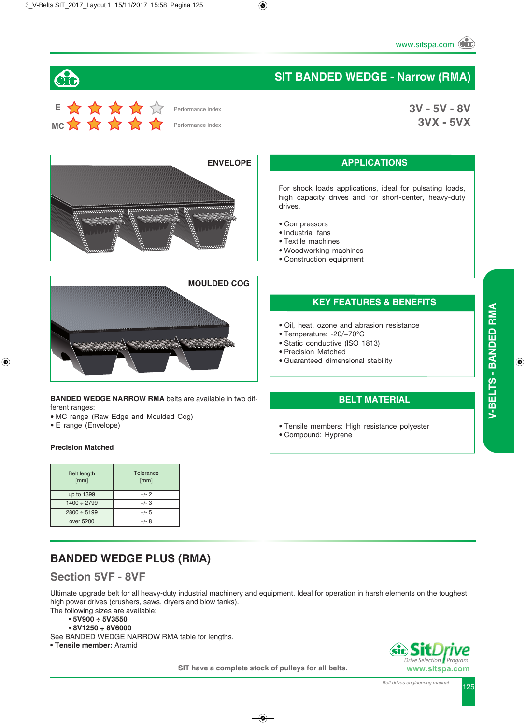**3V - 5V - 8V 3VX - 5VX**

### **SIT BANDED WEDGE - Narrow (RMA)**



Performance index

Performance index





**BANDED WEDGE NARROW RMA** belts are available in two different ranges:

- MC range (Raw Edge and Moulded Cog)
- E range (Envelope)

#### **Precision Matched**

| <b>Belt length</b><br>[mm] | Tolerance<br>[mm] |
|----------------------------|-------------------|
| up to 1399                 | $+/- 2$           |
| $1400 \div 2799$           | $+/-3$            |
| $2800 \div 5199$           | $+/- 5$           |
| over 5200                  | $+/-$ 8           |

### **BANDED WEDGE PLUS (RMA)**

### **Section 5VF - 8VF**

Ultimate upgrade belt for all heavy-duty industrial machinery and equipment. Ideal for operation in harsh elements on the toughest high power drives (crushers, saws, dryers and blow tanks).

The following sizes are available:

- **5V900 ÷ 5V3550**
- **8V1250 ÷ 8V6000**

See BANDED WEDGE NARROW RMA table for lengths.

**• Tensile member:** Aramid



 *Program*

## **APPLICATIONS**

For shock loads applications, ideal for pulsating loads, high capacity drives and for short-center, heavy-duty drives.

- Compressors
- Industrial fans
- Textile machines
- Woodworking machines
- Construction equipment

### **KEY FEATURES & BENEFITS**

- Oil, heat, ozone and abrasion resistance
- Temperature: -20/+70°C
- Static conductive (ISO 1813)
- Precision Matched
- Guaranteed dimensional stability

### **BELT MATERIAL**

• Tensile members: High resistance polyester

• Compound: Hyprene

**SIT have a complete stock of pulleys for all belts.**